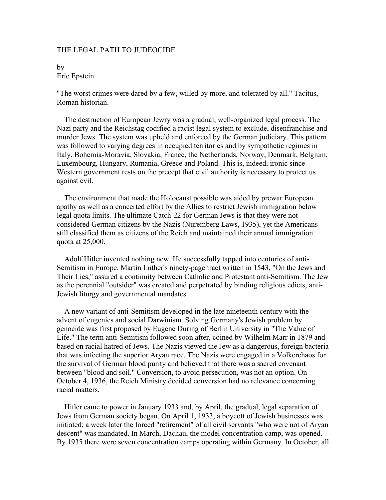## THE LEGAL PATH TO JUDEOCIDE

## by Eric Epstein

"The worst crimes were dared by a few, willed by more, and tolerated by all." Tacitus, Roman historian.

 The destruction of European Jewry was a gradual, well-organized legal process. The Nazi party and the Reichstag codified a racist legal system to exclude, disenfranchise and murder Jews. The system was upheld and enforced by the German judiciary. This pattern was followed to varying degrees in occupied territories and by sympathetic regimes in Italy, Bohemia-Moravia, Slovakia, France, the Netherlands, Norway, Denmark, Belgium, Luxembourg, Hungary, Rumania, Greece and Poland. This is, indeed, ironic since Western government rests on the precept that civil authority is necessary to protect us against evil.

 The environment that made the Holocaust possible was aided by prewar European apathy as well as a concerted effort by the Allies to restrict Jewish immigration below legal quota limits. The ultimate Catch-22 for German Jews is that they were not considered German citizens by the Nazis (Nuremberg Laws, 1935), yet the Americans still classified them as citizens of the Reich and maintained their annual immigration quota at 25,000.

 Adolf Hitler invented nothing new. He successfully tapped into centuries of anti-Semitism in Europe. Martin Luther's ninety-page tract written in 1543, "On the Jews and Their Lies," assured a continuity between Catholic and Protestant anti-Semitism. The Jew as the perennial "outsider" was created and perpetrated by binding religious edicts, anti-Jewish liturgy and governmental mandates.

 A new variant of anti-Semitism developed in the late nineteenth century with the advent of eugenics and social Darwinism. Solving Germany's Jewish problem by genocide was first proposed by Eugene During of Berlin University in "The Value of Life." The term anti-Semitism followed soon after, coined by Wilhelm Marr in 1879 and based on racial hatred of Jews. The Nazis viewed the Jew as a dangerous, foreign bacteria that was infecting the superior Aryan race. The Nazis were engaged in a Volkerchaos for the survival of German blood purity and believed that there was a sacred covenant between "blood and soil." Conversion, to avoid persecution, was not an option. On October 4, 1936, the Reich Ministry decided conversion had no relevance concerning racial matters.

 Hitler came to power in January 1933 and, by April, the gradual, legal separation of Jews from German society began. On April 1, 1933, a boycott of Jewish businesses was initiated; a week later the forced "retirement" of all civil servants "who were not of Aryan descent" was mandated. In March, Dachau, the model concentration camp, was opened. By 1935 there were seven concentration camps operating within Germany. In October, all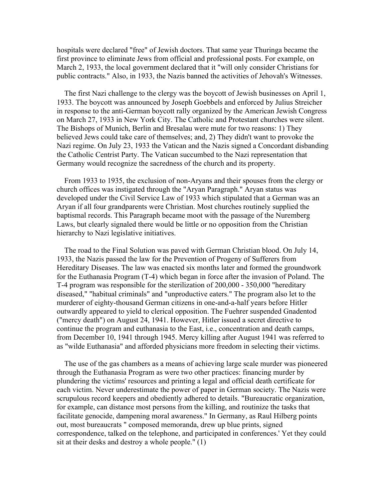hospitals were declared "free" of Jewish doctors. That same year Thuringa became the first province to eliminate Jews from official and professional posts. For example, on March 2, 1933, the local government declared that it "will only consider Christians for public contracts." Also, in 1933, the Nazis banned the activities of Jehovah's Witnesses.

 The first Nazi challenge to the clergy was the boycott of Jewish businesses on April 1, 1933. The boycott was announced by Joseph Goebbels and enforced by Julius Streicher in response to the anti-German boycott rally organized by the American Jewish Congress on March 27, 1933 in New York City. The Catholic and Protestant churches were silent. The Bishops of Munich, Berlin and Bresalau were mute for two reasons: 1) They believed Jews could take care of themselves; and, 2) They didn't want to provoke the Nazi regime. On July 23, 1933 the Vatican and the Nazis signed a Concordant disbanding the Catholic Centrist Party. The Vatican succumbed to the Nazi representation that Germany would recognize the sacredness of the church and its property.

 From 1933 to 1935, the exclusion of non-Aryans and their spouses from the clergy or church offices was instigated through the "Aryan Paragraph." Aryan status was developed under the Civil Service Law of 1933 which stipulated that a German was an Aryan if all four grandparents were Christian. Most churches routinely supplied the baptismal records. This Paragraph became moot with the passage of the Nuremberg Laws, but clearly signaled there would be little or no opposition from the Christian hierarchy to Nazi legislative initiatives.

 The road to the Final Solution was paved with German Christian blood. On July 14, 1933, the Nazis passed the law for the Prevention of Progeny of Sufferers from Hereditary Diseases. The law was enacted six months later and formed the groundwork for the Euthanasia Program (T-4) which began in force after the invasion of Poland. The T-4 program was responsible for the sterilization of 200,000 - 350,000 "hereditary diseased," "habitual criminals" and "unproductive eaters." The program also let to the murderer of eighty-thousand German citizens in one-and-a-half years before Hitler outwardly appeared to yield to clerical opposition. The Fuehrer suspended Gnadentod ("mercy death") on August 24, 1941. However, Hitler issued a secret directive to continue the program and euthanasia to the East, i.e., concentration and death camps, from December 10, 1941 through 1945. Mercy killing after August 1941 was referred to as "wilde Euthanasia" and afforded physicians more freedom in selecting their victims.

 The use of the gas chambers as a means of achieving large scale murder was pioneered through the Euthanasia Program as were two other practices: financing murder by plundering the victims' resources and printing a legal and official death certificate for each victim. Never underestimate the power of paper in German society. The Nazis were scrupulous record keepers and obediently adhered to details. "Bureaucratic organization, for example, can distance most persons from the killing, and routinize the tasks that facilitate genocide, dampening moral awareness." In Germany, as Raul Hilberg points out, most bureaucrats " composed memoranda, drew up blue prints, signed correspondence, talked on the telephone, and participated in conferences.' Yet they could sit at their desks and destroy a whole people." (1)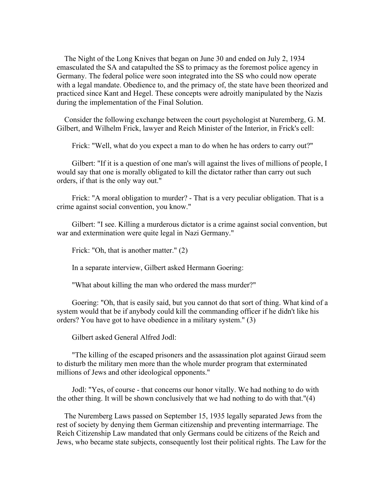The Night of the Long Knives that began on June 30 and ended on July 2, 1934 emasculated the SA and catapulted the SS to primacy as the foremost police agency in Germany. The federal police were soon integrated into the SS who could now operate with a legal mandate. Obedience to, and the primacy of, the state have been theorized and practiced since Kant and Hegel. These concepts were adroitly manipulated by the Nazis during the implementation of the Final Solution.

 Consider the following exchange between the court psychologist at Nuremberg, G. M. Gilbert, and Wilhelm Frick, lawyer and Reich Minister of the Interior, in Frick's cell:

Frick: "Well, what do you expect a man to do when he has orders to carry out?"

Gilbert: "If it is a question of one man's will against the lives of millions of people, I would say that one is morally obligated to kill the dictator rather than carry out such orders, if that is the only way out."

 Frick: "A moral obligation to murder? - That is a very peculiar obligation. That is a crime against social convention, you know."

 Gilbert: "I see. Killing a murderous dictator is a crime against social convention, but war and extermination were quite legal in Nazi Germany."

Frick: "Oh, that is another matter." (2)

In a separate interview, Gilbert asked Hermann Goering:

"What about killing the man who ordered the mass murder?"

 Goering: "Oh, that is easily said, but you cannot do that sort of thing. What kind of a system would that be if anybody could kill the commanding officer if he didn't like his orders? You have got to have obedience in a military system." (3)

Gilbert asked General Alfred Jodl:

 "The killing of the escaped prisoners and the assassination plot against Giraud seem to disturb the military men more than the whole murder program that exterminated millions of Jews and other ideological opponents."

 Jodl: "Yes, of course - that concerns our honor vitally. We had nothing to do with the other thing. It will be shown conclusively that we had nothing to do with that."(4)

 The Nuremberg Laws passed on September 15, 1935 legally separated Jews from the rest of society by denying them German citizenship and preventing intermarriage. The Reich Citizenship Law mandated that only Germans could be citizens of the Reich and Jews, who became state subjects, consequently lost their political rights. The Law for the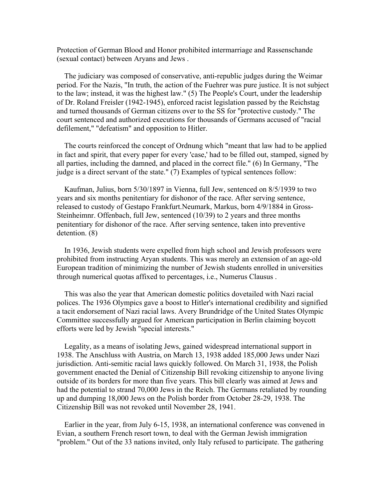Protection of German Blood and Honor prohibited intermarriage and Rassenschande (sexual contact) between Aryans and Jews .

 The judiciary was composed of conservative, anti-republic judges during the Weimar period. For the Nazis, "In truth, the action of the Fuehrer was pure justice. It is not subject to the law; instead, it was the highest law." (5) The People's Court, under the leadership of Dr. Roland Freisler (1942-1945), enforced racist legislation passed by the Reichstag and turned thousands of German citizens over to the SS for "protective custody." The court sentenced and authorized executions for thousands of Germans accused of "racial defilement," "defeatism" and opposition to Hitler.

 The courts reinforced the concept of Ordnung which "meant that law had to be applied in fact and spirit, that every paper for every 'case,' had to be filled out, stamped, signed by all parties, including the damned, and placed in the correct file." (6) In Germany, "The judge is a direct servant of the state." (7) Examples of typical sentences follow:

 Kaufman, Julius, born 5/30/1897 in Vienna, full Jew, sentenced on 8/5/1939 to two years and six months penitentiary for dishonor of the race. After serving sentence, released to custody of Gestapo Frankfurt.Neumark, Markus, born 4/9/1884 in Gross-Steinheimnr. Offenbach, full Jew, sentenced (10/39) to 2 years and three months penitentiary for dishonor of the race. After serving sentence, taken into preventive detention. (8)

 In 1936, Jewish students were expelled from high school and Jewish professors were prohibited from instructing Aryan students. This was merely an extension of an age-old European tradition of minimizing the number of Jewish students enrolled in universities through numerical quotas affixed to percentages, i.e., Numerus Clausus .

 This was also the year that American domestic politics dovetailed with Nazi racial polices. The 1936 Olympics gave a boost to Hitler's international credibility and signified a tacit endorsement of Nazi racial laws. Avery Brundridge of the United States Olympic Committee successfully argued for American participation in Berlin claiming boycott efforts were led by Jewish "special interests."

 Legality, as a means of isolating Jews, gained widespread international support in 1938. The Anschluss with Austria, on March 13, 1938 added 185,000 Jews under Nazi jurisdiction. Anti-semitic racial laws quickly followed. On March 31, 1938, the Polish government enacted the Denial of Citizenship Bill revoking citizenship to anyone living outside of its borders for more than five years. This bill clearly was aimed at Jews and had the potential to strand 70,000 Jews in the Reich. The Germans retaliated by rounding up and dumping 18,000 Jews on the Polish border from October 28-29, 1938. The Citizenship Bill was not revoked until November 28, 1941.

 Earlier in the year, from July 6-15, 1938, an international conference was convened in Evian, a southern French resort town, to deal with the German Jewish immigration "problem." Out of the 33 nations invited, only Italy refused to participate. The gathering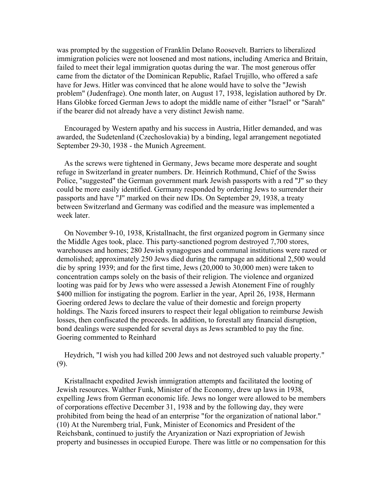was prompted by the suggestion of Franklin Delano Roosevelt. Barriers to liberalized immigration policies were not loosened and most nations, including America and Britain, failed to meet their legal immigration quotas during the war. The most generous offer came from the dictator of the Dominican Republic, Rafael Trujillo, who offered a safe have for Jews. Hitler was convinced that he alone would have to solve the "Jewish problem" (Judenfrage). One month later, on August 17, 1938, legislation authored by Dr. Hans Globke forced German Jews to adopt the middle name of either "Israel" or "Sarah" if the bearer did not already have a very distinct Jewish name.

 Encouraged by Western apathy and his success in Austria, Hitler demanded, and was awarded, the Sudetenland (Czechoslovakia) by a binding, legal arrangement negotiated September 29-30, 1938 - the Munich Agreement.

 As the screws were tightened in Germany, Jews became more desperate and sought refuge in Switzerland in greater numbers. Dr. Heinrich Rothmund, Chief of the Swiss Police, "suggested" the German government mark Jewish passports with a red "J" so they could be more easily identified. Germany responded by ordering Jews to surrender their passports and have "J" marked on their new IDs. On September 29, 1938, a treaty between Switzerland and Germany was codified and the measure was implemented a week later

 On November 9-10, 1938, Kristallnacht, the first organized pogrom in Germany since the Middle Ages took, place. This party-sanctioned pogrom destroyed 7,700 stores, warehouses and homes; 280 Jewish synagogues and communal institutions were razed or demolished; approximately 250 Jews died during the rampage an additional 2,500 would die by spring 1939; and for the first time, Jews (20,000 to 30,000 men) were taken to concentration camps solely on the basis of their religion. The violence and organized looting was paid for by Jews who were assessed a Jewish Atonement Fine of roughly \$400 million for instigating the pogrom. Earlier in the year, April 26, 1938, Hermann Goering ordered Jews to declare the value of their domestic and foreign property holdings. The Nazis forced insurers to respect their legal obligation to reimburse Jewish losses, then confiscated the proceeds. In addition, to forestall any financial disruption, bond dealings were suspended for several days as Jews scrambled to pay the fine. Goering commented to Reinhard

 Heydrich, "I wish you had killed 200 Jews and not destroyed such valuable property." (9).

 Kristallnacht expedited Jewish immigration attempts and facilitated the looting of Jewish resources. Walther Funk, Minister of the Economy, drew up laws in 1938, expelling Jews from German economic life. Jews no longer were allowed to be members of corporations effective December 31, 1938 and by the following day, they were prohibited from being the head of an enterprise "for the organization of national labor." (10) At the Nuremberg trial, Funk, Minister of Economics and President of the Reichsbank, continued to justify the Aryanization or Nazi expropriation of Jewish property and businesses in occupied Europe. There was little or no compensation for this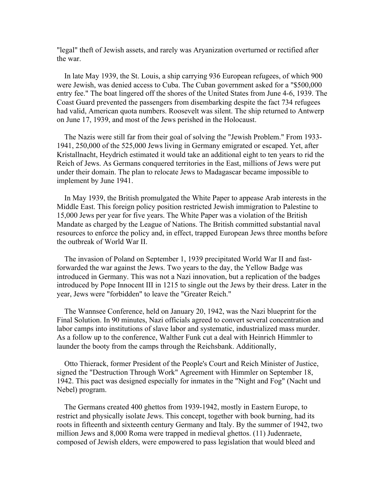"legal" theft of Jewish assets, and rarely was Aryanization overturned or rectified after the war.

 In late May 1939, the St. Louis, a ship carrying 936 European refugees, of which 900 were Jewish, was denied access to Cuba. The Cuban government asked for a "\$500,000 entry fee." The boat lingered off the shores of the United States from June 4-6, 1939. The Coast Guard prevented the passengers from disembarking despite the fact 734 refugees had valid, American quota numbers. Roosevelt was silent. The ship returned to Antwerp on June 17, 1939, and most of the Jews perished in the Holocaust.

 The Nazis were still far from their goal of solving the "Jewish Problem." From 1933- 1941, 250,000 of the 525,000 Jews living in Germany emigrated or escaped. Yet, after Kristallnacht, Heydrich estimated it would take an additional eight to ten years to rid the Reich of Jews. As Germans conquered territories in the East, millions of Jews were put under their domain. The plan to relocate Jews to Madagascar became impossible to implement by June 1941.

 In May 1939, the British promulgated the White Paper to appease Arab interests in the Middle East. This foreign policy position restricted Jewish immigration to Palestine to 15,000 Jews per year for five years. The White Paper was a violation of the British Mandate as charged by the League of Nations. The British committed substantial naval resources to enforce the policy and, in effect, trapped European Jews three months before the outbreak of World War II.

 The invasion of Poland on September 1, 1939 precipitated World War II and fastforwarded the war against the Jews. Two years to the day, the Yellow Badge was introduced in Germany. This was not a Nazi innovation, but a replication of the badges introduced by Pope Innocent III in 1215 to single out the Jews by their dress. Later in the year, Jews were "forbidden" to leave the "Greater Reich."

 The Wannsee Conference, held on January 20, 1942, was the Nazi blueprint for the Final Solution. In 90 minutes, Nazi officials agreed to convert several concentration and labor camps into institutions of slave labor and systematic, industrialized mass murder. As a follow up to the conference, Walther Funk cut a deal with Heinrich Himmler to launder the booty from the camps through the Reichsbank. Additionally,

 Otto Thierack, former President of the People's Court and Reich Minister of Justice, signed the "Destruction Through Work" Agreement with Himmler on September 18, 1942. This pact was designed especially for inmates in the "Night and Fog" (Nacht und Nebel) program.

 The Germans created 400 ghettos from 1939-1942, mostly in Eastern Europe, to restrict and physically isolate Jews. This concept, together with book burning, had its roots in fifteenth and sixteenth century Germany and Italy. By the summer of 1942, two million Jews and 8,000 Roma were trapped in medieval ghettos. (11) Judenraete, composed of Jewish elders, were empowered to pass legislation that would bleed and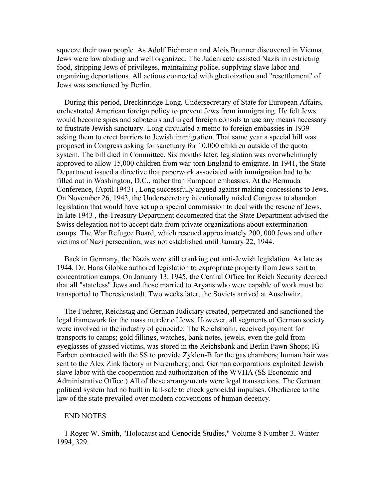squeeze their own people. As Adolf Eichmann and Alois Brunner discovered in Vienna, Jews were law abiding and well organized. The Judenraete assisted Nazis in restricting food, stripping Jews of privileges, maintaining police, supplying slave labor and organizing deportations. All actions connected with ghettoization and "resettlement" of Jews was sanctioned by Berlin.

 During this period, Breckinridge Long, Undersecretary of State for European Affairs, orchestrated American foreign policy to prevent Jews from immigrating. He felt Jews would become spies and saboteurs and urged foreign consuls to use any means necessary to frustrate Jewish sanctuary. Long circulated a memo to foreign embassies in 1939 asking them to erect barriers to Jewish immigration. That same year a special bill was proposed in Congress asking for sanctuary for 10,000 children outside of the quota system. The bill died in Committee. Six months later, legislation was overwhelmingly approved to allow 15,000 children from war-torn England to emigrate. In 1941, the State Department issued a directive that paperwork associated with immigration had to be filled out in Washington, D.C., rather than European embassies. At the Bermuda Conference, (April 1943) , Long successfully argued against making concessions to Jews. On November 26, 1943, the Undersecretary intentionally misled Congress to abandon legislation that would have set up a special commission to deal with the rescue of Jews. In late 1943 , the Treasury Department documented that the State Department advised the Swiss delegation not to accept data from private organizations about extermination camps. The War Refugee Board, which rescued approximately 200, 000 Jews and other victims of Nazi persecution, was not established until January 22, 1944.

 Back in Germany, the Nazis were still cranking out anti-Jewish legislation. As late as 1944, Dr. Hans Globke authored legislation to expropriate property from Jews sent to concentration camps. On January 13, 1945, the Central Office for Reich Security decreed that all "stateless" Jews and those married to Aryans who were capable of work must be transported to Theresienstadt. Two weeks later, the Soviets arrived at Auschwitz.

 The Fuehrer, Reichstag and German Judiciary created, perpetrated and sanctioned the legal framework for the mass murder of Jews. However, all segments of German society were involved in the industry of genocide: The Reichsbahn, received payment for transports to camps; gold fillings, watches, bank notes, jewels, even the gold from eyeglasses of gassed victims, was stored in the Reichsbank and Berlin Pawn Shops; IG Farben contracted with the SS to provide Zyklon-B for the gas chambers; human hair was sent to the Alex Zink factory in Nuremberg; and, German corporations exploited Jewish slave labor with the cooperation and authorization of the WVHA (SS Economic and Administrative Office.) All of these arrangements were legal transactions. The German political system had no built in fail-safe to check genocidal impulses. Obedience to the law of the state prevailed over modern conventions of human decency.

## END NOTES

 1 Roger W. Smith, "Holocaust and Genocide Studies," Volume 8 Number 3, Winter 1994, 329.